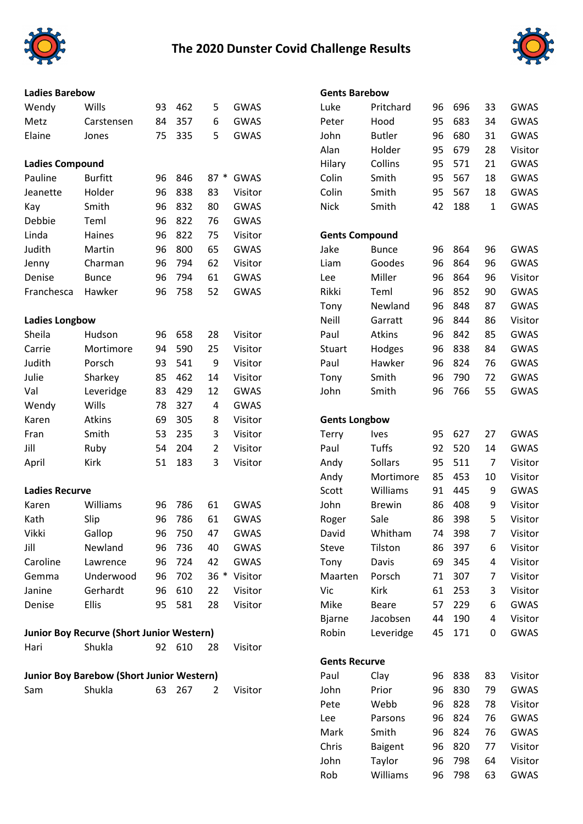

## **The 2020 Dunster Covid Challenge Results**



## Metz Carstensen 84 357 6 GWAS Peter Hood 95 683 34 GWAS Elaine Jones 75 335 5 GWAS John Butler 96 680 31 GWAS **Ladies Compound** Pauline Burfitt 96 846 87 \* GWAS Colin Smith 95 567 18 GWAS Jeanette Holder 96 838 83 Visitor Colin Smith 95 567 18 GWAS Kay Smith 96 832 80 GWAS Nick Smith 42 188 1 GWAS Debbie Teml 96 822 76 GWAS Linda Haines 96 822 75 Visitor **Gents Compound** Judith Martin 96 800 65 GWAS Jake Bunce 96 864 96 GWAS Jenny Charman 96 794 62 Visitor Liam Goodes 96 864 96 GWAS Denise Bunce 96 794 61 GWAS Lee Miller 96 864 96 Visitor Franchesca Hawker 96 758 52 GWAS Rikki Teml 96 852 90 GWAS **Ladies Longbow** Sheila Hudson 96 658 28 Visitor Paul Atkins 96 842 85 GWAS Carrie Mortimore 94 590 25 Visitor Mortuart Hodges 96 838 84 GWAS Judith Porsch 93 541 9 Visitor Paul Hawker 96 824 76 GWAS Julie Sharkey 85 462 14 Visitor Tony Smith 96 790 72 GWAS Val Leveridge 83 429 12 GWAS John Smith 96 766 55 GWAS Wendy Wills 78 327 4 GWAS Karen Atkins 69 305 8 Visitor **Gents Longbow** Fran Smith 53 235 3 Visitor 1 Terry Ives 95 627 27 GWAS Jill Ruby 54 204 2 Visitor Paul Tuffs 92 520 14 GWAS April Kirk 51 183 3 Visitor Andy Sollars 95 511 7 Visitor **Ladies Recurve** Karen Williams 96 786 61 GWAS John Brewin 86 408 9 Visitor Kath Slip 96 786 61 GWAS Roger Sale 86 398 5 Visitor Vikki Gallop 96 750 47 GWAS David Whitham 74 398 7 Visitor Jill Newland 96 736 40 GWAS Steve Tilston 86 397 6 Visitor Caroline Lawrence 96 724 42 GWAS Tony Davis 69 345 4 Visitor Gemma Underwood 96 702 36 \* Visitor Maarten Porsch 71 307 7 Visitor Janine Gerhardt 96 610 22 Visitor Vic Kirk 61 253 3 Visitor Denise Ellis 95 581 28 Visitor Mike Beare 57 229 6 GWAS **Junior Boy Recurve (Short Junior Western)** Hari Shukla 92 610 28 Visitor **Junior Boy Barebow (Short Junior Western)** Sam Shukla 63 267 2 Visitor John Prior 96 830 79 GWAS

| <b>Ladies Barebow</b>                     |                                           |        | <b>Gents Barebow</b> |                |              |                      |                       |    |        |    |             |  |
|-------------------------------------------|-------------------------------------------|--------|----------------------|----------------|--------------|----------------------|-----------------------|----|--------|----|-------------|--|
| Wendy                                     | Wills                                     | 93     | 462                  | 5              | <b>GWAS</b>  | Luke                 | Pritchard             | 96 | 696    | 33 | <b>GWAS</b> |  |
| Metz                                      | Carstensen                                | 84     | 357                  | 6              | <b>GWAS</b>  | Peter                | Hood                  | 95 | 683    | 34 | <b>GWAS</b> |  |
| Elaine                                    | Jones                                     | 75     | 335                  | 5              | GWAS         | John                 | <b>Butler</b>         | 96 | 680    | 31 | <b>GWAS</b> |  |
|                                           |                                           |        |                      |                |              | Alan                 | Holder                | 95 | 679    | 28 | Visitor     |  |
| <b>Ladies Compound</b>                    |                                           | Hilary | Collins              | 95             | 571          | 21                   | GWAS                  |    |        |    |             |  |
| Pauline                                   | <b>Burfitt</b>                            | 96     | 846                  | $87 *$         | GWAS         | Colin                | Smith                 | 95 | 567    | 18 | <b>GWAS</b> |  |
| Jeanette                                  | Holder                                    | 96     | 838                  | 83             | Visitor      | Colin                | Smith                 | 95 | 567    | 18 | <b>GWAS</b> |  |
| Kay                                       | Smith                                     | 96     | 832                  | 80             | <b>GWAS</b>  | <b>Nick</b>          | Smith                 | 42 | 188    | 1  | <b>GWAS</b> |  |
| Debbie                                    | Teml                                      | 96     | 822                  | 76             | <b>GWAS</b>  |                      |                       |    |        |    |             |  |
| Linda                                     | Haines                                    | 96     | 822                  | 75             | Visitor      |                      | <b>Gents Compound</b> |    |        |    |             |  |
| Judith                                    | Martin                                    | 96     | 800                  | 65             | <b>GWAS</b>  | Jake                 | <b>Bunce</b>          | 96 | 864    | 96 | <b>GWAS</b> |  |
| Jenny                                     | Charman                                   | 96     | 794                  | 62             | Visitor      | Liam                 | Goodes                | 96 | 864    | 96 | GWAS        |  |
| Denise                                    | <b>Bunce</b>                              | 96     | 794                  | 61             | <b>GWAS</b>  | Lee                  | Miller                | 96 | 864    | 96 | Visitor     |  |
| Franchesca                                | Hawker                                    | 96     | 758                  | 52             | <b>GWAS</b>  | Rikki                | Teml                  | 96 | 852    | 90 | <b>GWAS</b> |  |
|                                           |                                           |        |                      |                |              | Tony                 | Newland               | 96 | 848    | 87 | GWAS        |  |
| <b>Ladies Longbow</b>                     |                                           |        |                      |                |              | Neill                | Garratt               | 96 | 844    | 86 | Visitor     |  |
| Sheila                                    | Hudson                                    | 96     | 658                  | 28             | Visitor      | Paul                 | Atkins                | 96 | 842    | 85 | <b>GWAS</b> |  |
| Carrie                                    | Mortimore                                 | 94     | 590                  | 25             | Visitor      | <b>Stuart</b>        | Hodges                | 96 | 838    | 84 | <b>GWAS</b> |  |
| Judith                                    | Porsch                                    | 93     | 541                  | 9              | Visitor      | Paul                 | Hawker                | 96 | 824    | 76 | <b>GWAS</b> |  |
| Julie                                     | Sharkey                                   | 85     | 462                  | 14             | Visitor      | Tony                 | Smith                 | 96 | 790    | 72 | <b>GWAS</b> |  |
| Val                                       | Leveridge                                 | 83     | 429                  | 12             | <b>GWAS</b>  | John                 | Smith                 | 96 | 766    | 55 | <b>GWAS</b> |  |
| Wendy                                     | Wills                                     | 78     | 327                  | 4              | <b>GWAS</b>  |                      |                       |    |        |    |             |  |
| Karen                                     | Atkins                                    | 69     | 305                  | 8              | Visitor      | <b>Gents Longbow</b> |                       |    |        |    |             |  |
| Fran                                      | Smith                                     | 53     | 235                  | 3              | Visitor      | <b>Terry</b>         | Ives                  | 95 | 627    | 27 | GWAS        |  |
| Jill                                      | Ruby                                      | 54     | 204                  | $\overline{2}$ | Visitor      | Paul                 | Tuffs                 | 92 | 520    | 14 | GWAS        |  |
| April                                     | Kirk                                      | 51     | 183                  | 3              | Visitor      | Andy                 | <b>Sollars</b>        | 95 | 511    | 7  | Visitor     |  |
|                                           |                                           |        |                      |                |              | Andy                 | Mortimore             | 85 | 453    | 10 | Visitor     |  |
| <b>Ladies Recurve</b>                     |                                           |        |                      |                |              | Scott                | Williams              | 91 | 445    | 9  | GWAS        |  |
| Karen                                     | Williams                                  | 96     | 786                  | 61             | <b>GWAS</b>  | John                 | <b>Brewin</b>         | 86 | 408    | 9  | Visitor     |  |
| Kath                                      | Slip                                      | 96     | 786                  | 61             | GWAS         | Roger                | Sale                  | 86 | 398    | 5  | Visitor     |  |
| Vikki                                     | Gallop                                    | 96     | 750                  | 47             | GWAS         | David                | Whitham               |    | 74 398 | 7  | Visitor     |  |
| Jill                                      | Newland                                   | 96     | 736                  | 40             | GWAS         | Steve                | Tilston               | 86 | 397    | 6  | Visitor     |  |
| Caroline                                  | Lawrence                                  | 96     | 724                  | 42             | GWAS         | Tony                 | Davis                 | 69 | 345    | 4  | Visitor     |  |
| Gemma                                     | Underwood                                 | 96     | 702                  |                | 36 * Visitor | Maarten              | Porsch                | 71 | 307    | 7  | Visitor     |  |
| Janine                                    | Gerhardt                                  | 96     | 610                  | 22             | Visitor      | Vic                  | Kirk                  | 61 | 253    | 3  | Visitor     |  |
| Denise                                    | <b>Ellis</b>                              | 95     | 581                  | 28             | Visitor      | Mike                 | Beare                 | 57 | 229    | 6  | GWAS        |  |
|                                           |                                           |        |                      |                |              | <b>Bjarne</b>        | Jacobsen              | 44 | 190    | 4  | Visitor     |  |
|                                           | Junior Boy Recurve (Short Junior Western) |        |                      |                |              | Robin                | Leveridge             | 45 | 171    | 0  | GWAS        |  |
| Hari                                      | Shukla                                    |        | 92 610               | 28             | Visitor      |                      |                       |    |        |    |             |  |
|                                           |                                           |        |                      |                |              | <b>Gents Recurve</b> |                       |    |        |    |             |  |
| Junior Boy Barebow (Short Junior Western) |                                           |        |                      |                |              |                      | Clay                  |    | 96 838 | 83 | Visitor     |  |
| Sam                                       | Shukla                                    |        | 63 267               | $\overline{2}$ | Visitor      | John                 | Prior                 | 96 | 830    | 79 | GWAS        |  |
|                                           |                                           |        |                      |                |              | Pete                 | Webb                  | 96 | 828    | 78 | Visitor     |  |
|                                           |                                           |        |                      |                |              | Lee                  | Parsons               | 96 | 824    | 76 | GWAS        |  |
|                                           |                                           |        |                      |                |              | Mark                 | Smith                 | 96 | 824    | 76 | GWAS        |  |
|                                           |                                           |        |                      |                |              | Chris                | <b>Baigent</b>        | 96 | 820    | 77 | Visitor     |  |
|                                           |                                           |        |                      |                |              | John                 | Taylor                | 96 | 798    | 64 | Visitor     |  |
|                                           |                                           |        |                      |                |              | Rob                  | Williams              | 96 | 798    | 63 | <b>GWAS</b> |  |
|                                           |                                           |        |                      |                |              |                      |                       |    |        |    |             |  |